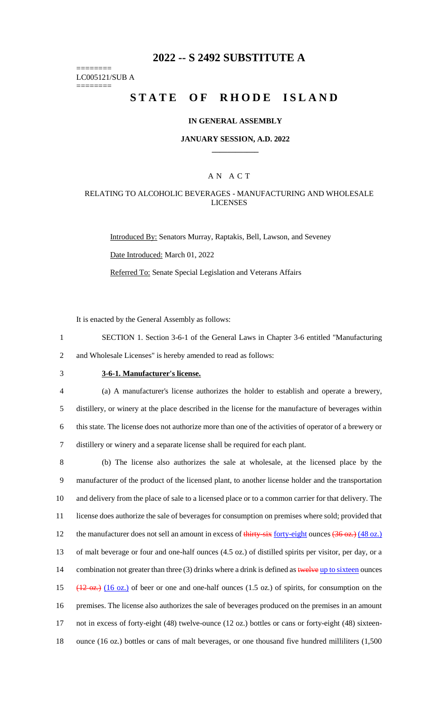# **2022 -- S 2492 SUBSTITUTE A**

======== LC005121/SUB A

========

# **STATE OF RHODE ISLAND**

#### **IN GENERAL ASSEMBLY**

#### **JANUARY SESSION, A.D. 2022 \_\_\_\_\_\_\_\_\_\_\_\_**

### A N A C T

### RELATING TO ALCOHOLIC BEVERAGES - MANUFACTURING AND WHOLESALE LICENSES

Introduced By: Senators Murray, Raptakis, Bell, Lawson, and Seveney Date Introduced: March 01, 2022 Referred To: Senate Special Legislation and Veterans Affairs

It is enacted by the General Assembly as follows:

1 SECTION 1. Section 3-6-1 of the General Laws in Chapter 3-6 entitled "Manufacturing 2 and Wholesale Licenses" is hereby amended to read as follows:

## 3 **3-6-1. Manufacturer's license.**

 (a) A manufacturer's license authorizes the holder to establish and operate a brewery, distillery, or winery at the place described in the license for the manufacture of beverages within this state. The license does not authorize more than one of the activities of operator of a brewery or distillery or winery and a separate license shall be required for each plant.

 (b) The license also authorizes the sale at wholesale, at the licensed place by the manufacturer of the product of the licensed plant, to another license holder and the transportation and delivery from the place of sale to a licensed place or to a common carrier for that delivery. The license does authorize the sale of beverages for consumption on premises where sold; provided that 12 the manufacturer does not sell an amount in excess of thirty-six forty-eight ounces (36 oz.) (48 oz.) of malt beverage or four and one-half ounces (4.5 oz.) of distilled spirits per visitor, per day, or a 14 combination not greater than three (3) drinks where a drink is defined as twelve up to sixteen ounces  $(12 \text{ oz.})$   $(16 \text{ oz.})$  of beer or one and one-half ounces (1.5 oz.) of spirits, for consumption on the premises. The license also authorizes the sale of beverages produced on the premises in an amount not in excess of forty-eight (48) twelve-ounce (12 oz.) bottles or cans or forty-eight (48) sixteen-ounce (16 oz.) bottles or cans of malt beverages, or one thousand five hundred milliliters (1,500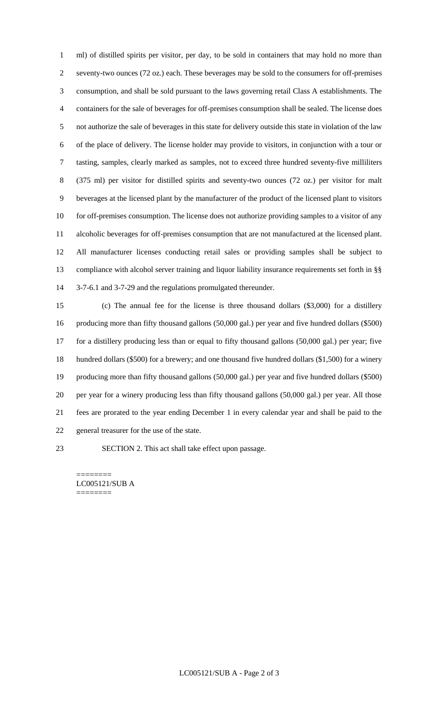ml) of distilled spirits per visitor, per day, to be sold in containers that may hold no more than seventy-two ounces (72 oz.) each. These beverages may be sold to the consumers for off-premises consumption, and shall be sold pursuant to the laws governing retail Class A establishments. The containers for the sale of beverages for off-premises consumption shall be sealed. The license does not authorize the sale of beverages in this state for delivery outside this state in violation of the law of the place of delivery. The license holder may provide to visitors, in conjunction with a tour or tasting, samples, clearly marked as samples, not to exceed three hundred seventy-five milliliters (375 ml) per visitor for distilled spirits and seventy-two ounces (72 oz.) per visitor for malt beverages at the licensed plant by the manufacturer of the product of the licensed plant to visitors 10 for off-premises consumption. The license does not authorize providing samples to a visitor of any alcoholic beverages for off-premises consumption that are not manufactured at the licensed plant. All manufacturer licenses conducting retail sales or providing samples shall be subject to compliance with alcohol server training and liquor liability insurance requirements set forth in §§ 3-7-6.1 and 3-7-29 and the regulations promulgated thereunder.

 (c) The annual fee for the license is three thousand dollars (\$3,000) for a distillery producing more than fifty thousand gallons (50,000 gal.) per year and five hundred dollars (\$500) for a distillery producing less than or equal to fifty thousand gallons (50,000 gal.) per year; five hundred dollars (\$500) for a brewery; and one thousand five hundred dollars (\$1,500) for a winery producing more than fifty thousand gallons (50,000 gal.) per year and five hundred dollars (\$500) per year for a winery producing less than fifty thousand gallons (50,000 gal.) per year. All those fees are prorated to the year ending December 1 in every calendar year and shall be paid to the general treasurer for the use of the state.

SECTION 2. This act shall take effect upon passage.

======== LC005121/SUB A ========